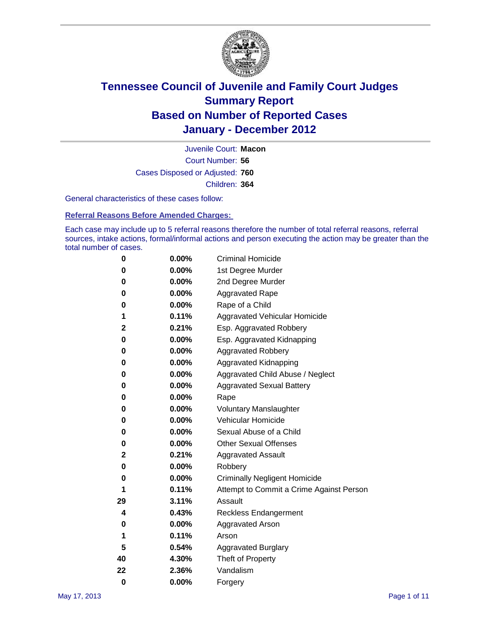

Court Number: **56** Juvenile Court: **Macon** Cases Disposed or Adjusted: **760** Children: **364**

General characteristics of these cases follow:

**Referral Reasons Before Amended Charges:** 

Each case may include up to 5 referral reasons therefore the number of total referral reasons, referral sources, intake actions, formal/informal actions and person executing the action may be greater than the total number of cases.

| 0  | 0.00%    | <b>Criminal Homicide</b>                 |  |  |  |
|----|----------|------------------------------------------|--|--|--|
| 0  | 0.00%    | 1st Degree Murder                        |  |  |  |
| 0  | 0.00%    | 2nd Degree Murder                        |  |  |  |
| 0  | 0.00%    | <b>Aggravated Rape</b>                   |  |  |  |
| 0  | 0.00%    | Rape of a Child                          |  |  |  |
| 1  | 0.11%    | Aggravated Vehicular Homicide            |  |  |  |
| 2  | 0.21%    | Esp. Aggravated Robbery                  |  |  |  |
| 0  | 0.00%    | Esp. Aggravated Kidnapping               |  |  |  |
| 0  | 0.00%    | <b>Aggravated Robbery</b>                |  |  |  |
| 0  | 0.00%    | Aggravated Kidnapping                    |  |  |  |
| 0  | 0.00%    | Aggravated Child Abuse / Neglect         |  |  |  |
| 0  | $0.00\%$ | <b>Aggravated Sexual Battery</b>         |  |  |  |
| 0  | 0.00%    | Rape                                     |  |  |  |
| 0  | $0.00\%$ | <b>Voluntary Manslaughter</b>            |  |  |  |
| 0  | 0.00%    | Vehicular Homicide                       |  |  |  |
| 0  | 0.00%    | Sexual Abuse of a Child                  |  |  |  |
| 0  | 0.00%    | <b>Other Sexual Offenses</b>             |  |  |  |
| 2  | 0.21%    | <b>Aggravated Assault</b>                |  |  |  |
| 0  | $0.00\%$ | Robbery                                  |  |  |  |
| 0  | 0.00%    | <b>Criminally Negligent Homicide</b>     |  |  |  |
| 1  | 0.11%    | Attempt to Commit a Crime Against Person |  |  |  |
| 29 | 3.11%    | Assault                                  |  |  |  |
| 4  | 0.43%    | <b>Reckless Endangerment</b>             |  |  |  |
| 0  | 0.00%    | <b>Aggravated Arson</b>                  |  |  |  |
| 1  | 0.11%    | Arson                                    |  |  |  |
| 5  | 0.54%    | <b>Aggravated Burglary</b>               |  |  |  |
| 40 | 4.30%    | Theft of Property                        |  |  |  |
| 22 | 2.36%    | Vandalism                                |  |  |  |
| 0  | 0.00%    | Forgery                                  |  |  |  |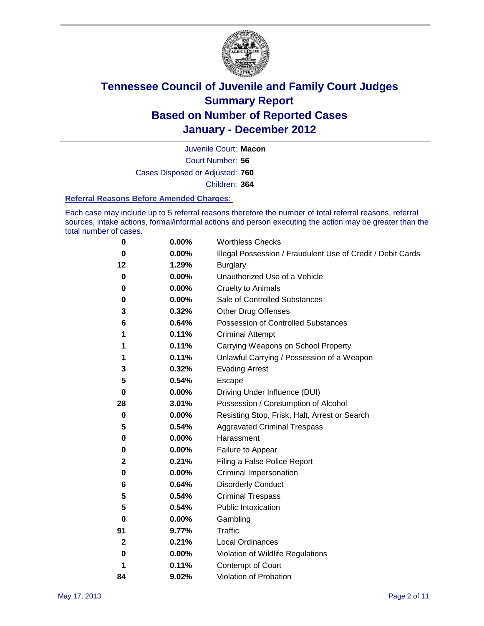

Court Number: **56** Juvenile Court: **Macon** Cases Disposed or Adjusted: **760** Children: **364**

#### **Referral Reasons Before Amended Charges:**

Each case may include up to 5 referral reasons therefore the number of total referral reasons, referral sources, intake actions, formal/informal actions and person executing the action may be greater than the total number of cases.

| 0  | 0.00% | <b>Worthless Checks</b>                                     |
|----|-------|-------------------------------------------------------------|
| 0  | 0.00% | Illegal Possession / Fraudulent Use of Credit / Debit Cards |
| 12 | 1.29% | <b>Burglary</b>                                             |
| 0  | 0.00% | Unauthorized Use of a Vehicle                               |
| 0  | 0.00% | <b>Cruelty to Animals</b>                                   |
| 0  | 0.00% | Sale of Controlled Substances                               |
| 3  | 0.32% | <b>Other Drug Offenses</b>                                  |
| 6  | 0.64% | Possession of Controlled Substances                         |
| 1  | 0.11% | <b>Criminal Attempt</b>                                     |
| 1  | 0.11% | Carrying Weapons on School Property                         |
| 1  | 0.11% | Unlawful Carrying / Possession of a Weapon                  |
| 3  | 0.32% | <b>Evading Arrest</b>                                       |
| 5  | 0.54% | Escape                                                      |
| 0  | 0.00% | Driving Under Influence (DUI)                               |
| 28 | 3.01% | Possession / Consumption of Alcohol                         |
| 0  | 0.00% | Resisting Stop, Frisk, Halt, Arrest or Search               |
| 5  | 0.54% | <b>Aggravated Criminal Trespass</b>                         |
| 0  | 0.00% | Harassment                                                  |
| 0  | 0.00% | Failure to Appear                                           |
| 2  | 0.21% | Filing a False Police Report                                |
| 0  | 0.00% | Criminal Impersonation                                      |
| 6  | 0.64% | <b>Disorderly Conduct</b>                                   |
| 5  | 0.54% | <b>Criminal Trespass</b>                                    |
| 5  | 0.54% | <b>Public Intoxication</b>                                  |
| 0  | 0.00% | Gambling                                                    |
| 91 | 9.77% | Traffic                                                     |
| 2  | 0.21% | <b>Local Ordinances</b>                                     |
| 0  | 0.00% | Violation of Wildlife Regulations                           |
| 1  | 0.11% | Contempt of Court                                           |
| 84 | 9.02% | Violation of Probation                                      |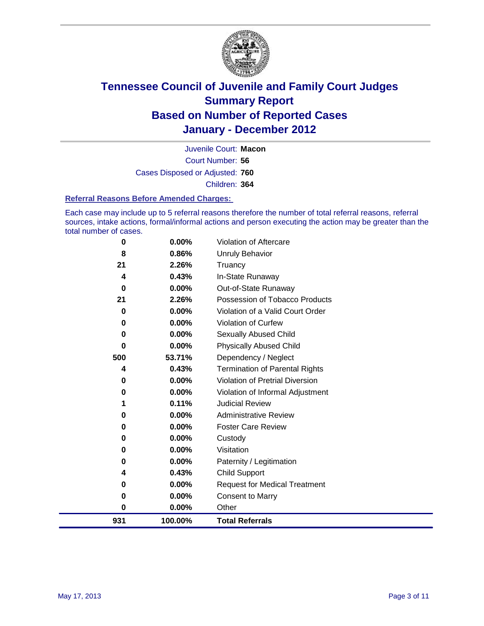

Court Number: **56** Juvenile Court: **Macon** Cases Disposed or Adjusted: **760** Children: **364**

#### **Referral Reasons Before Amended Charges:**

Each case may include up to 5 referral reasons therefore the number of total referral reasons, referral sources, intake actions, formal/informal actions and person executing the action may be greater than the total number of cases.

| 0        | 0.00%    | Violation of Aftercare                 |
|----------|----------|----------------------------------------|
| 8        | 0.86%    | Unruly Behavior                        |
| 21       | 2.26%    | Truancy                                |
| 4        | 0.43%    | In-State Runaway                       |
| 0        | 0.00%    | Out-of-State Runaway                   |
| 21       | 2.26%    | Possession of Tobacco Products         |
| 0        | $0.00\%$ | Violation of a Valid Court Order       |
| 0        | 0.00%    | Violation of Curfew                    |
| 0        | $0.00\%$ | Sexually Abused Child                  |
| $\bf{0}$ | 0.00%    | <b>Physically Abused Child</b>         |
| 500      | 53.71%   | Dependency / Neglect                   |
| 4        | 0.43%    | <b>Termination of Parental Rights</b>  |
| 0        | 0.00%    | <b>Violation of Pretrial Diversion</b> |
| 0        | 0.00%    | Violation of Informal Adjustment       |
|          | 0.11%    | <b>Judicial Review</b>                 |
| 0        | $0.00\%$ | <b>Administrative Review</b>           |
| 0        | 0.00%    | <b>Foster Care Review</b>              |
| 0        | $0.00\%$ | Custody                                |
| 0        | 0.00%    | Visitation                             |
| 0        | 0.00%    | Paternity / Legitimation               |
| 4        | 0.43%    | <b>Child Support</b>                   |
| 0        | 0.00%    | <b>Request for Medical Treatment</b>   |
| 0        | 0.00%    | <b>Consent to Marry</b>                |
| 0        | 0.00%    | Other                                  |
| 931      | 100.00%  | <b>Total Referrals</b>                 |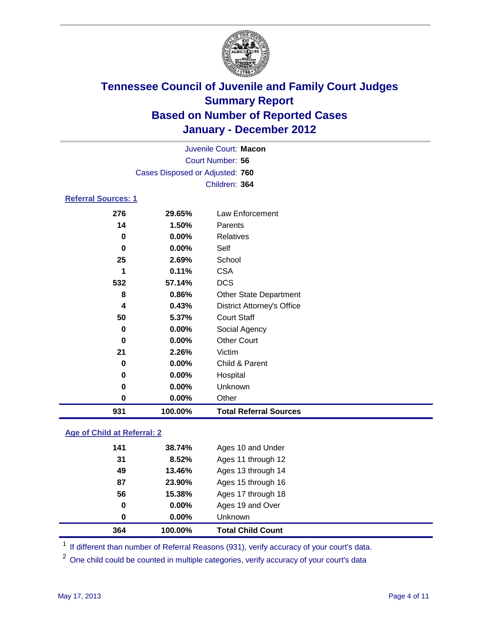

| 931                        | 100.00%                         | <b>Total Referral Sources</b>     |  |
|----------------------------|---------------------------------|-----------------------------------|--|
| $\bf{0}$                   | 0.00%                           | Other                             |  |
| $\bf{0}$                   | 0.00%                           | Unknown                           |  |
| 0                          | 0.00%                           | Hospital                          |  |
| 0                          | 0.00%                           | Child & Parent                    |  |
| 21                         | 2.26%                           | Victim                            |  |
| 0                          | 0.00%                           | <b>Other Court</b>                |  |
| 0                          | 0.00%                           | Social Agency                     |  |
| 50                         | 5.37%                           | <b>Court Staff</b>                |  |
| 4                          | 0.43%                           | <b>District Attorney's Office</b> |  |
| 8                          | 0.86%                           | <b>Other State Department</b>     |  |
| 532                        | 57.14%                          | <b>DCS</b>                        |  |
| 1                          | 0.11%                           | <b>CSA</b>                        |  |
| 25                         | 2.69%                           | School                            |  |
| $\bf{0}$                   | 0.00%                           | Self                              |  |
| $\bf{0}$                   | 0.00%                           | <b>Relatives</b>                  |  |
| 14                         | 1.50%                           | Parents                           |  |
| 276                        | 29.65%                          | Law Enforcement                   |  |
| <b>Referral Sources: 1</b> |                                 |                                   |  |
|                            |                                 | Children: 364                     |  |
|                            | Cases Disposed or Adjusted: 760 |                                   |  |
|                            |                                 | Court Number: 56                  |  |
|                            | Juvenile Court: Macon           |                                   |  |
|                            |                                 |                                   |  |

### **Age of Child at Referral: 2**

| 364 | 100.00% | <b>Total Child Count</b> |
|-----|---------|--------------------------|
| 0   | 0.00%   | <b>Unknown</b>           |
| 0   | 0.00%   | Ages 19 and Over         |
| 56  | 15.38%  | Ages 17 through 18       |
| 87  | 23.90%  | Ages 15 through 16       |
| 49  | 13.46%  | Ages 13 through 14       |
| 31  | 8.52%   | Ages 11 through 12       |
| 141 | 38.74%  | Ages 10 and Under        |
|     |         |                          |

<sup>1</sup> If different than number of Referral Reasons (931), verify accuracy of your court's data.

<sup>2</sup> One child could be counted in multiple categories, verify accuracy of your court's data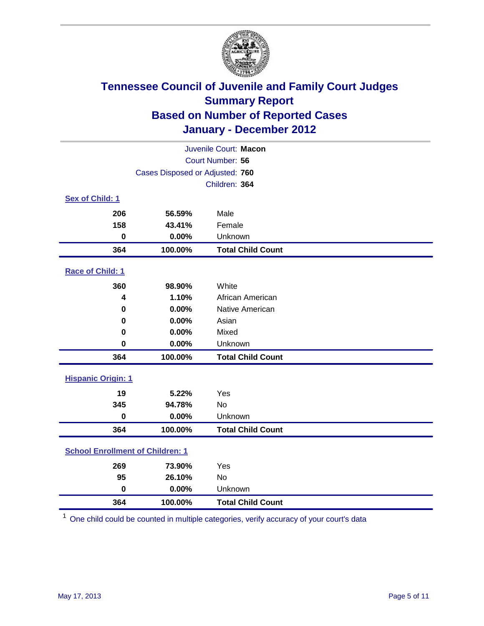

| Juvenile Court: Macon                   |                                 |                          |  |
|-----------------------------------------|---------------------------------|--------------------------|--|
| Court Number: 56                        |                                 |                          |  |
|                                         | Cases Disposed or Adjusted: 760 |                          |  |
|                                         |                                 | Children: 364            |  |
| Sex of Child: 1                         |                                 |                          |  |
| 206                                     | 56.59%                          | Male                     |  |
| 158                                     | 43.41%                          | Female                   |  |
| $\mathbf 0$                             | 0.00%                           | Unknown                  |  |
| 364                                     | 100.00%                         | <b>Total Child Count</b> |  |
| Race of Child: 1                        |                                 |                          |  |
| 360                                     | 98.90%                          | White                    |  |
| 4                                       | 1.10%                           | African American         |  |
| 0                                       | 0.00%                           | Native American          |  |
| 0                                       | 0.00%                           | Asian                    |  |
| 0                                       | 0.00%                           | Mixed                    |  |
| $\mathbf 0$                             | 0.00%                           | Unknown                  |  |
| 364                                     | 100.00%                         | <b>Total Child Count</b> |  |
| <b>Hispanic Origin: 1</b>               |                                 |                          |  |
| 19                                      | 5.22%                           | Yes                      |  |
| 345                                     | 94.78%                          | No                       |  |
| $\mathbf 0$                             | 0.00%                           | Unknown                  |  |
| 364                                     | 100.00%                         | <b>Total Child Count</b> |  |
| <b>School Enrollment of Children: 1</b> |                                 |                          |  |
| 269                                     | 73.90%                          | Yes                      |  |
| 95                                      | 26.10%                          | No                       |  |
| $\mathbf 0$                             | 0.00%                           | Unknown                  |  |
| 364                                     | 100.00%                         | <b>Total Child Count</b> |  |

One child could be counted in multiple categories, verify accuracy of your court's data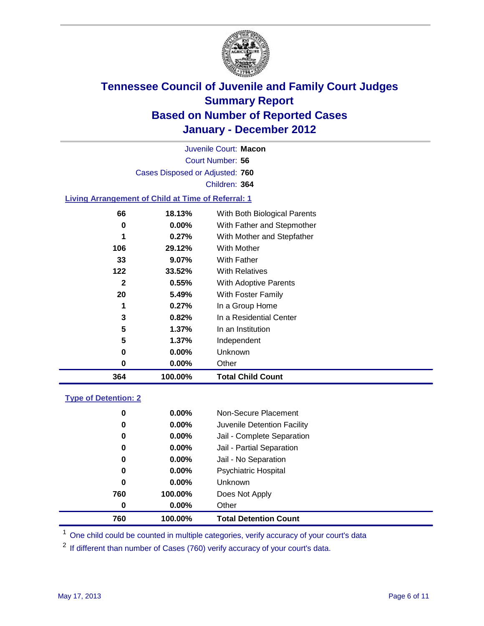

Court Number: **56** Juvenile Court: **Macon** Cases Disposed or Adjusted: **760** Children: **364**

### **Living Arrangement of Child at Time of Referral: 1**

| 364          | 100.00%  | <b>Total Child Count</b>     |
|--------------|----------|------------------------------|
| 0            | $0.00\%$ | Other                        |
| 0            | 0.00%    | <b>Unknown</b>               |
| 5            | $1.37\%$ | Independent                  |
| 5            | $1.37\%$ | In an Institution            |
| 3            | 0.82%    | In a Residential Center      |
| 1            | 0.27%    | In a Group Home              |
| 20           | 5.49%    | With Foster Family           |
| $\mathbf{2}$ | 0.55%    | With Adoptive Parents        |
| 122          | 33.52%   | <b>With Relatives</b>        |
| 33           | 9.07%    | With Father                  |
| 106          | 29.12%   | With Mother                  |
| 1            | 0.27%    | With Mother and Stepfather   |
| 0            | $0.00\%$ | With Father and Stepmother   |
| 66           | 18.13%   | With Both Biological Parents |
|              |          |                              |

#### **Type of Detention: 2**

| 760      | 100.00%  | <b>Total Detention Count</b> |  |
|----------|----------|------------------------------|--|
| 0        | $0.00\%$ | Other                        |  |
| 760      | 100.00%  | Does Not Apply               |  |
| 0        | $0.00\%$ | Unknown                      |  |
| 0        | 0.00%    | <b>Psychiatric Hospital</b>  |  |
| $\bf{0}$ | 0.00%    | Jail - No Separation         |  |
| 0        | $0.00\%$ | Jail - Partial Separation    |  |
| 0        | $0.00\%$ | Jail - Complete Separation   |  |
| 0        | 0.00%    | Juvenile Detention Facility  |  |
| 0        | $0.00\%$ | Non-Secure Placement         |  |
|          |          |                              |  |

<sup>1</sup> One child could be counted in multiple categories, verify accuracy of your court's data

<sup>2</sup> If different than number of Cases (760) verify accuracy of your court's data.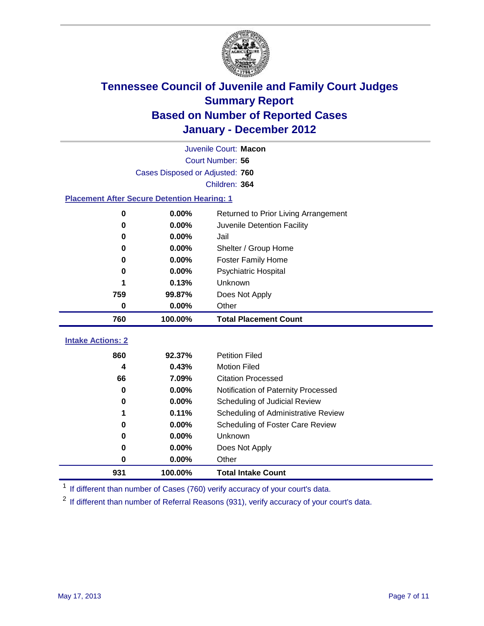

|                                                    | Juvenile Court: Macon           |                                      |  |  |  |
|----------------------------------------------------|---------------------------------|--------------------------------------|--|--|--|
|                                                    | Court Number: 56                |                                      |  |  |  |
|                                                    | Cases Disposed or Adjusted: 760 |                                      |  |  |  |
|                                                    |                                 | Children: 364                        |  |  |  |
| <b>Placement After Secure Detention Hearing: 1</b> |                                 |                                      |  |  |  |
| 0                                                  | 0.00%                           | Returned to Prior Living Arrangement |  |  |  |
| 0                                                  | 0.00%                           | Juvenile Detention Facility          |  |  |  |
| 0                                                  | 0.00%                           | Jail                                 |  |  |  |
| 0                                                  | 0.00%                           | Shelter / Group Home                 |  |  |  |
| 0                                                  | 0.00%                           | <b>Foster Family Home</b>            |  |  |  |
| 0                                                  | 0.00%                           | Psychiatric Hospital                 |  |  |  |
| 1                                                  | 0.13%                           | <b>Unknown</b>                       |  |  |  |
| 759                                                | 99.87%                          | Does Not Apply                       |  |  |  |
| 0                                                  | 0.00%                           | Other                                |  |  |  |
| 760                                                | 100.00%                         | <b>Total Placement Count</b>         |  |  |  |
| <b>Intake Actions: 2</b>                           |                                 |                                      |  |  |  |
| 860                                                | 92.37%                          | <b>Petition Filed</b>                |  |  |  |
| 4                                                  | 0.43%                           | <b>Motion Filed</b>                  |  |  |  |
| 66                                                 | 7.09%                           | <b>Citation Processed</b>            |  |  |  |
| 0                                                  | 0.00%                           | Notification of Paternity Processed  |  |  |  |
| 0                                                  | 0.00%                           | Scheduling of Judicial Review        |  |  |  |
| 1                                                  | 0.11%                           | Scheduling of Administrative Review  |  |  |  |
| 0                                                  | 0.00%                           | Scheduling of Foster Care Review     |  |  |  |
| 0                                                  | 0.00%                           | Unknown                              |  |  |  |
| 0                                                  | 0.00%                           | Does Not Apply                       |  |  |  |

<sup>1</sup> If different than number of Cases (760) verify accuracy of your court's data.

**100.00% Total Intake Count**

<sup>2</sup> If different than number of Referral Reasons (931), verify accuracy of your court's data.

**0.00%** Other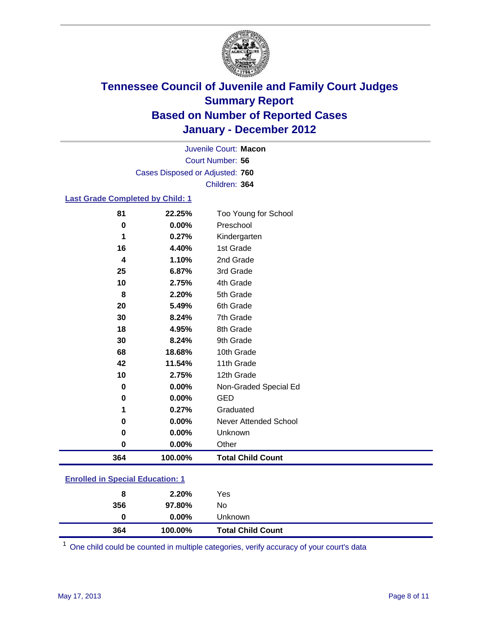

Court Number: **56** Juvenile Court: **Macon** Cases Disposed or Adjusted: **760** Children: **364**

### **Last Grade Completed by Child: 1**

| 81                                | 22.25%  | Too Young for School         |
|-----------------------------------|---------|------------------------------|
| $\bf{0}$                          | 0.00%   | Preschool                    |
| 1                                 | 0.27%   | Kindergarten                 |
| 16                                | 4.40%   | 1st Grade                    |
| 4                                 | 1.10%   | 2nd Grade                    |
| 25                                | 6.87%   | 3rd Grade                    |
| 10                                | 2.75%   | 4th Grade                    |
| 8                                 | 2.20%   | 5th Grade                    |
| 20                                | 5.49%   | 6th Grade                    |
| 30                                | 8.24%   | 7th Grade                    |
| 18                                | 4.95%   | 8th Grade                    |
| 30                                | 8.24%   | 9th Grade                    |
| 68                                | 18.68%  | 10th Grade                   |
| 42                                | 11.54%  | 11th Grade                   |
| 10                                | 2.75%   | 12th Grade                   |
| 0                                 | 0.00%   | Non-Graded Special Ed        |
| $\bf{0}$                          | 0.00%   | <b>GED</b>                   |
| 1                                 | 0.27%   | Graduated                    |
| 0                                 | 0.00%   | <b>Never Attended School</b> |
| 0                                 | 0.00%   | Unknown                      |
| 0                                 | 0.00%   | Other                        |
| 364                               | 100.00% | <b>Total Child Count</b>     |
| Enrolled in Consider Education: 1 |         |                              |

| 364                                     | 100.00%  | <b>Total Child Count</b> |  |  |
|-----------------------------------------|----------|--------------------------|--|--|
| 0                                       | $0.00\%$ | Unknown                  |  |  |
| 356                                     | 97.80%   | No.                      |  |  |
| 8                                       | 2.20%    | Yes                      |  |  |
| <b>Enrolled in Special Education: 1</b> |          |                          |  |  |

One child could be counted in multiple categories, verify accuracy of your court's data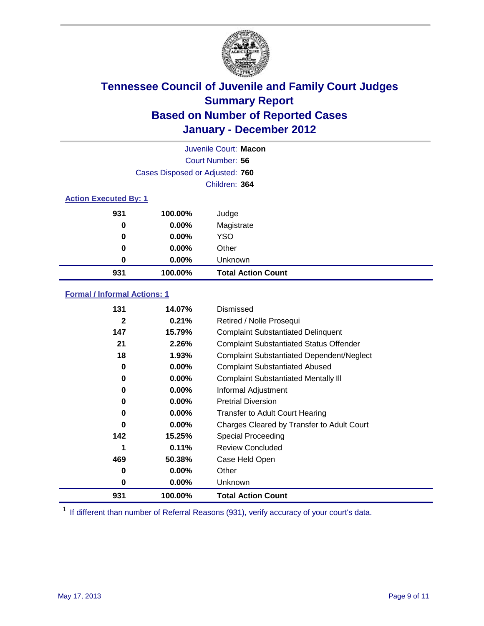

|                              | Juvenile Court: Macon           |                           |  |  |
|------------------------------|---------------------------------|---------------------------|--|--|
|                              | Court Number: 56                |                           |  |  |
|                              | Cases Disposed or Adjusted: 760 |                           |  |  |
|                              |                                 | Children: 364             |  |  |
| <b>Action Executed By: 1</b> |                                 |                           |  |  |
| 931                          | 100.00%                         | Judge                     |  |  |
| 0                            | $0.00\%$                        | Magistrate                |  |  |
| 0                            | $0.00\%$                        | <b>YSO</b>                |  |  |
| 0                            | 0.00%                           | Other                     |  |  |
| 0                            | 0.00%                           | Unknown                   |  |  |
| 931                          | 100.00%                         | <b>Total Action Count</b> |  |  |

### **Formal / Informal Actions: 1**

| 131          | 14.07%   | Dismissed                                        |
|--------------|----------|--------------------------------------------------|
| $\mathbf{2}$ | 0.21%    | Retired / Nolle Prosequi                         |
| 147          | 15.79%   | <b>Complaint Substantiated Delinquent</b>        |
| 21           | 2.26%    | <b>Complaint Substantiated Status Offender</b>   |
| 18           | 1.93%    | <b>Complaint Substantiated Dependent/Neglect</b> |
| 0            | 0.00%    | <b>Complaint Substantiated Abused</b>            |
| 0            | $0.00\%$ | <b>Complaint Substantiated Mentally III</b>      |
| 0            | $0.00\%$ | Informal Adjustment                              |
| 0            | $0.00\%$ | <b>Pretrial Diversion</b>                        |
| 0            | $0.00\%$ | <b>Transfer to Adult Court Hearing</b>           |
| 0            | 0.00%    | Charges Cleared by Transfer to Adult Court       |
| 142          | 15.25%   | Special Proceeding                               |
| 1            | 0.11%    | <b>Review Concluded</b>                          |
| 469          | 50.38%   | Case Held Open                                   |
| 0            | $0.00\%$ | Other                                            |
| 0            | $0.00\%$ | <b>Unknown</b>                                   |
| 931          | 100.00%  | <b>Total Action Count</b>                        |

<sup>1</sup> If different than number of Referral Reasons (931), verify accuracy of your court's data.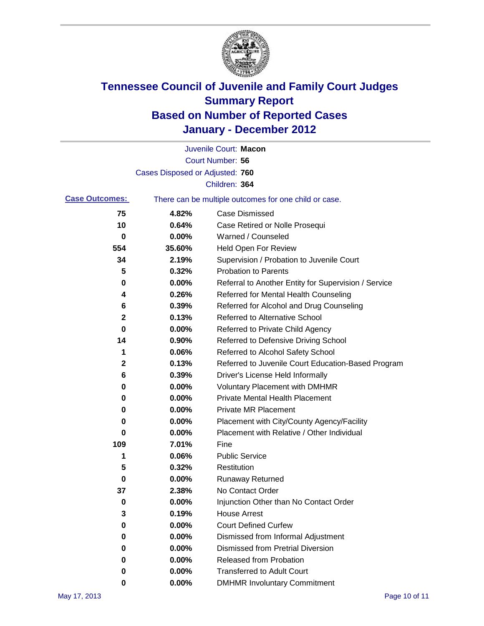

|                       |                                 | Juvenile Court: Macon                                 |
|-----------------------|---------------------------------|-------------------------------------------------------|
|                       |                                 | Court Number: 56                                      |
|                       | Cases Disposed or Adjusted: 760 |                                                       |
|                       |                                 | Children: 364                                         |
| <b>Case Outcomes:</b> |                                 | There can be multiple outcomes for one child or case. |
| 75                    | 4.82%                           | <b>Case Dismissed</b>                                 |
| 10                    | 0.64%                           | Case Retired or Nolle Prosequi                        |
| 0                     | 0.00%                           | Warned / Counseled                                    |
| 554                   | 35.60%                          | <b>Held Open For Review</b>                           |
| 34                    | 2.19%                           | Supervision / Probation to Juvenile Court             |
| 5                     | 0.32%                           | <b>Probation to Parents</b>                           |
| 0                     | 0.00%                           | Referral to Another Entity for Supervision / Service  |
| 4                     | 0.26%                           | Referred for Mental Health Counseling                 |
| 6                     | 0.39%                           | Referred for Alcohol and Drug Counseling              |
| 2                     | 0.13%                           | <b>Referred to Alternative School</b>                 |
| 0                     | 0.00%                           | Referred to Private Child Agency                      |
| 14                    | 0.90%                           | Referred to Defensive Driving School                  |
| 1                     | 0.06%                           | Referred to Alcohol Safety School                     |
| 2                     | 0.13%                           | Referred to Juvenile Court Education-Based Program    |
| 6                     | 0.39%                           | Driver's License Held Informally                      |
| 0                     | 0.00%                           | <b>Voluntary Placement with DMHMR</b>                 |
| 0                     | 0.00%                           | <b>Private Mental Health Placement</b>                |
| 0                     | 0.00%                           | <b>Private MR Placement</b>                           |
| 0                     | 0.00%                           | Placement with City/County Agency/Facility            |
| 0                     | 0.00%                           | Placement with Relative / Other Individual            |
| 109                   | 7.01%                           | Fine                                                  |
| 1                     | 0.06%                           | <b>Public Service</b>                                 |
| 5                     | 0.32%                           | Restitution                                           |
| 0                     | 0.00%                           | Runaway Returned                                      |
| 37                    | 2.38%                           | No Contact Order                                      |
| o                     | 0.00%                           | Injunction Other than No Contact Order                |
| 3                     | 0.19%                           | <b>House Arrest</b>                                   |
| 0                     | 0.00%                           | <b>Court Defined Curfew</b>                           |
| 0                     | 0.00%                           | Dismissed from Informal Adjustment                    |
| 0                     | 0.00%                           | <b>Dismissed from Pretrial Diversion</b>              |
| 0                     | 0.00%                           | <b>Released from Probation</b>                        |
| 0                     | 0.00%                           | <b>Transferred to Adult Court</b>                     |
| 0                     | $0.00\%$                        | <b>DMHMR Involuntary Commitment</b>                   |